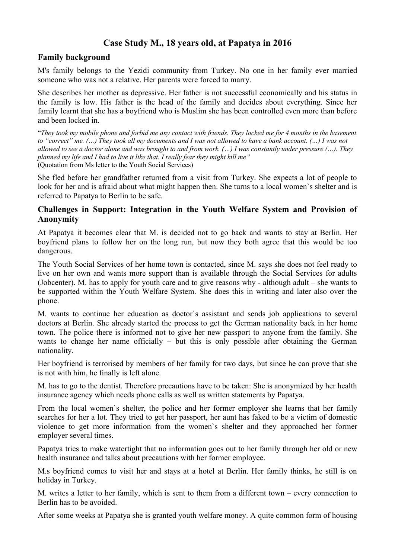## **Case Study M., 18 years old, at Papatya in 2016**

## **Family background**

M's family belongs to the Yezidi community from Turkey. No one in her family ever married someone who was not a relative. Her parents were forced to marry.

She describes her mother as depressive. Her father is not successful economically and his status in the family is low. His father is the head of the family and decides about everything. Since her family learnt that she has a boyfriend who is Muslim she has been controlled even more than before and been locked in.

"*They took my mobile phone and forbid me any contact with friends. They locked me for 4 months in the basement to "correct" me. (…) They took all my documents and I was not allowed to have a bank account. (…) I was not allowed to see a doctor alone and was brought to and from work. (…) I was constantly under pressure (…). They planned my life and I had to live it like that. I really fear they might kill me"*  (Quotation from Ms letter to the Youth Social Services)

She fled before her grandfather returned from a visit from Turkey. She expects a lot of people to look for her and is afraid about what might happen then. She turns to a local women`s shelter and is referred to Papatya to Berlin to be safe.

## **Challenges in Support: Integration in the Youth Welfare System and Provision of Anonymity**

At Papatya it becomes clear that M. is decided not to go back and wants to stay at Berlin. Her boyfriend plans to follow her on the long run, but now they both agree that this would be too dangerous.

The Youth Social Services of her home town is contacted, since M. says she does not feel ready to live on her own and wants more support than is available through the Social Services for adults (Jobcenter). M. has to apply for youth care and to give reasons why - although adult – she wants to be supported within the Youth Welfare System. She does this in writing and later also over the phone.

M. wants to continue her education as doctor`s assistant and sends job applications to several doctors at Berlin. She already started the process to get the German nationality back in her home town. The police there is informed not to give her new passport to anyone from the family. She wants to change her name officially – but this is only possible after obtaining the German nationality.

Her boyfriend is terrorised by members of her family for two days, but since he can prove that she is not with him, he finally is left alone.

M. has to go to the dentist. Therefore precautions have to be taken: She is anonymized by her health insurance agency which needs phone calls as well as written statements by Papatya.

From the local women`s shelter, the police and her former employer she learns that her family searches for her a lot. They tried to get her passport, her aunt has faked to be a victim of domestic violence to get more information from the women`s shelter and they approached her former employer several times.

Papatya tries to make watertight that no information goes out to her family through her old or new health insurance and talks about precautions with her former employee.

M.s boyfriend comes to visit her and stays at a hotel at Berlin. Her family thinks, he still is on holiday in Turkey.

M. writes a letter to her family, which is sent to them from a different town – every connection to Berlin has to be avoided.

After some weeks at Papatya she is granted youth welfare money. A quite common form of housing